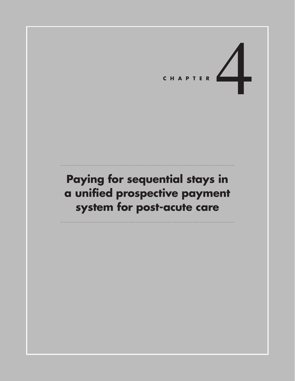# CHAPTER

# **Paying for sequential stays in a unified prospective payment system for post-acute care**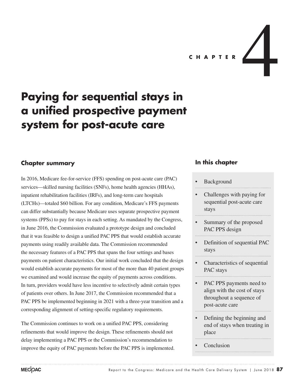**C H A P T E R** 4

# **Paying for sequential stays in a unified prospective payment system for post-acute care**

# **Chapter summary**

In 2016, Medicare fee-for-service (FFS) spending on post-acute care (PAC) services—skilled nursing facilities (SNFs), home health agencies (HHAs), inpatient rehabilitation facilities (IRFs), and long-term care hospitals (LTCHs)—totaled \$60 billion. For any condition, Medicare's FFS payments can differ substantially because Medicare uses separate prospective payment systems (PPSs) to pay for stays in each setting. As mandated by the Congress, in June 2016, the Commission evaluated a prototype design and concluded that it was feasible to design a unified PAC PPS that would establish accurate payments using readily available data. The Commission recommended the necessary features of a PAC PPS that spans the four settings and bases payments on patient characteristics. Our initial work concluded that the design would establish accurate payments for most of the more than 40 patient groups we examined and would increase the equity of payments across conditions. In turn, providers would have less incentive to selectively admit certain types of patients over others. In June 2017, the Commission recommended that a PAC PPS be implemented beginning in 2021 with a three-year transition and a corresponding alignment of setting-specific regulatory requirements.

The Commission continues to work on a unified PAC PPS, considering refinements that would improve the design. These refinements should not delay implementing a PAC PPS or the Commission's recommendation to improve the equity of PAC payments before the PAC PPS is implemented.

## **In this chapter**

#### **Background**

- Challenges with paying for sequential post-acute care stays
- Summary of the proposed PAC PPS design
- Definition of sequential PAC stays
- Characteristics of sequential PAC stays
- PAC PPS payments need to align with the cost of stays throughout a sequence of post-acute care
- Defining the beginning and end of stays when treating in place
- **Conclusion**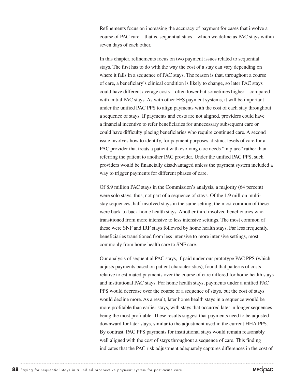Refinements focus on increasing the accuracy of payment for cases that involve a course of PAC care—that is, sequential stays—which we define as PAC stays within seven days of each other.

In this chapter, refinements focus on two payment issues related to sequential stays. The first has to do with the way the cost of a stay can vary depending on where it falls in a sequence of PAC stays. The reason is that, throughout a course of care, a beneficiary's clinical condition is likely to change, so later PAC stays could have different average costs—often lower but sometimes higher—compared with initial PAC stays. As with other FFS payment systems, it will be important under the unified PAC PPS to align payments with the cost of each stay throughout a sequence of stays. If payments and costs are not aligned, providers could have a financial incentive to refer beneficiaries for unnecessary subsequent care or could have difficulty placing beneficiaries who require continued care. A second issue involves how to identify, for payment purposes, distinct levels of care for a PAC provider that treats a patient with evolving care needs "in place" rather than referring the patient to another PAC provider. Under the unified PAC PPS, such providers would be financially disadvantaged unless the payment system included a way to trigger payments for different phases of care.

Of 8.9 million PAC stays in the Commission's analysis, a majority (64 percent) were solo stays, thus, not part of a sequence of stays. Of the 1.9 million multistay sequences, half involved stays in the same setting; the most common of these were back-to-back home health stays. Another third involved beneficiaries who transitioned from more intensive to less intensive settings. The most common of these were SNF and IRF stays followed by home health stays. Far less frequently, beneficiaries transitioned from less intensive to more intensive settings, most commonly from home health care to SNF care.

Our analysis of sequential PAC stays, if paid under our prototype PAC PPS (which adjusts payments based on patient characteristics), found that patterns of costs relative to estimated payments over the course of care differed for home health stays and institutional PAC stays. For home health stays, payments under a unified PAC PPS would decrease over the course of a sequence of stays, but the cost of stays would decline more. As a result, later home health stays in a sequence would be more profitable than earlier stays, with stays that occurred later in longer sequences being the most profitable. These results suggest that payments need to be adjusted downward for later stays, similar to the adjustment used in the current HHA PPS. By contrast, PAC PPS payments for institutional stays would remain reasonably well aligned with the cost of stays throughout a sequence of care. This finding indicates that the PAC risk adjustment adequately captures differences in the cost of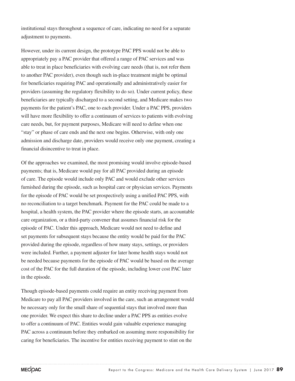institutional stays throughout a sequence of care, indicating no need for a separate adjustment to payments.

However, under its current design, the prototype PAC PPS would not be able to appropriately pay a PAC provider that offered a range of PAC services and was able to treat in place beneficiaries with evolving care needs (that is, not refer them to another PAC provider), even though such in-place treatment might be optimal for beneficiaries requiring PAC and operationally and administratively easier for providers (assuming the regulatory flexibility to do so). Under current policy, these beneficiaries are typically discharged to a second setting, and Medicare makes two payments for the patient's PAC, one to each provider. Under a PAC PPS, providers will have more flexibility to offer a continuum of services to patients with evolving care needs, but, for payment purposes, Medicare will need to define when one "stay" or phase of care ends and the next one begins. Otherwise, with only one admission and discharge date, providers would receive only one payment, creating a financial disincentive to treat in place.

Of the approaches we examined, the most promising would involve episode-based payments; that is, Medicare would pay for all PAC provided during an episode of care. The episode would include only PAC and would exclude other services furnished during the episode, such as hospital care or physician services. Payments for the episode of PAC would be set prospectively using a unified PAC PPS, with no reconciliation to a target benchmark. Payment for the PAC could be made to a hospital, a health system, the PAC provider where the episode starts, an accountable care organization, or a third-party convener that assumes financial risk for the episode of PAC. Under this approach, Medicare would not need to define and set payments for subsequent stays because the entity would be paid for the PAC provided during the episode, regardless of how many stays, settings, or providers were included. Further, a payment adjuster for later home health stays would not be needed because payments for the episode of PAC would be based on the average cost of the PAC for the full duration of the episode, including lower cost PAC later in the episode.

Though episode-based payments could require an entity receiving payment from Medicare to pay all PAC providers involved in the care, such an arrangement would be necessary only for the small share of sequential stays that involved more than one provider. We expect this share to decline under a PAC PPS as entities evolve to offer a continuum of PAC. Entities would gain valuable experience managing PAC across a continuum before they embarked on assuming more responsibility for caring for beneficiaries. The incentive for entities receiving payment to stint on the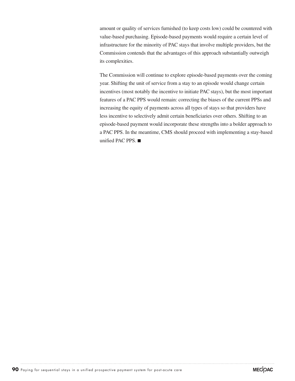amount or quality of services furnished (to keep costs low) could be countered with value-based purchasing. Episode-based payments would require a certain level of infrastructure for the minority of PAC stays that involve multiple providers, but the Commission contends that the advantages of this approach substantially outweigh its complexities.

The Commission will continue to explore episode-based payments over the coming year. Shifting the unit of service from a stay to an episode would change certain incentives (most notably the incentive to initiate PAC stays), but the most important features of a PAC PPS would remain: correcting the biases of the current PPSs and increasing the equity of payments across all types of stays so that providers have less incentive to selectively admit certain beneficiaries over others. Shifting to an episode-based payment would incorporate these strengths into a bolder approach to a PAC PPS. In the meantime, CMS should proceed with implementing a stay-based unified PAC PPS. ■

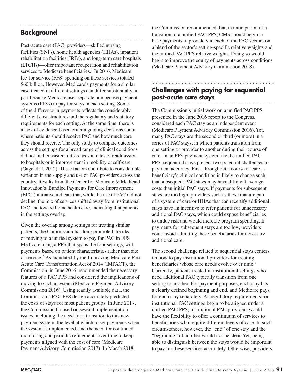# **Background**

Post-acute care (PAC) providers—skilled nursing facilities (SNFs), home health agencies (HHAs), inpatient rehabilitation facilities (IRFs), and long-term care hospitals (LTCHs)—offer important recuperation and rehabilitation services to Medicare beneficiaries.<sup>1</sup> In 2016, Medicare fee-for-service (FFS) spending on these services totaled \$60 billion. However, Medicare's payments for a similar case treated in different settings can differ substantially, in part because Medicare uses separate prospective payment systems (PPSs) to pay for stays in each setting. Some of the difference in payments reflects the considerably different cost structures and the regulatory and statutory requirements for each setting. At the same time, there is a lack of evidence-based criteria guiding decisions about where patients should receive PAC and how much care they should receive. The only study to compare outcomes across the settings for a broad range of clinical conditions did not find consistent differences in rates of readmission to hospitals or in improvement in mobility or self-care (Gage et al. 2012). These factors contribute to considerable variation in the supply and use of PAC providers across the country. Results from the Center for Medicare & Medicaid Innovation's Bundled Payments for Care Improvement (BPCI) initiative indicate that, while the use of PAC did not decline, the mix of services shifted away from institutional PAC and toward home health care, indicating that patients in the settings overlap.

Given the overlap among settings for treating similar patients, the Commission has long promoted the idea of moving to a unified system to pay for PAC in FFS Medicare using a PPS that spans the four settings, with payments based on patient characteristics rather than site of service.<sup>2</sup> As mandated by the Improving Medicare Post-Acute Care Transformation Act of 2014 (IMPACT), the Commission, in June 2016, recommended the necessary features of a PAC PPS and considered the implications of moving to such a system (Medicare Payment Advisory Commission 2016). Using readily available data, the Commission's PAC PPS design accurately predicted the costs of stays for most patient groups. In June 2017, the Commission focused on several implementation issues, including the need for a transition to this new payment system, the level at which to set payments when the system is implemented, and the need for continued monitoring and periodic refinements over time to keep payments aligned with the cost of care (Medicare Payment Advisory Commission 2017). In March 2018,

the Commission recommended that, in anticipation of a transition to a unified PAC PPS, CMS should begin to base payments to providers in each of the PAC sectors on a blend of the sector's setting-specific relative weights and the unified PAC PPS relative weights. Doing so would begin to improve the equity of payments across conditions (Medicare Payment Advisory Commission 2018).

# **Challenges with paying for sequential post-acute care stays**

The Commission's initial work on a unified PAC PPS, presented in the June 2016 report to the Congress, considered each PAC stay as an independent event (Medicare Payment Advisory Commission 2016). Yet, many PAC stays are the second or third (or more) in a series of PAC stays, in which patients transition from one setting or provider to another during their course of care. In an FFS payment system like the unified PAC PPS, sequential stays present two potential challenges to payment accuracy. First, throughout a course of care, a beneficiary's clinical condition is likely to change such that subsequent PAC stays may have different average costs than initial PAC stays. If payments for subsequent stays are too high, providers such as those that are part of a system of care or HHAs that can recertify additional stays have an incentive to refer patients for unnecessary additional PAC stays, which could expose beneficiaries to undue risk and would increase program spending. If payments for subsequent stays are too low, providers could avoid admitting these beneficiaries for necessary additional care.

The second challenge related to sequential stays centers on how to pay institutional providers for treating beneficiaries whose care needs evolve over time.<sup>3</sup> Currently, patients treated in institutional settings who need additional PAC typically transition from one setting to another. For payment purposes, each stay has a clearly defined beginning and end, and Medicare pays for each stay separately. As regulatory requirements for institutional PAC settings begin to be aligned under a unified PAC PPS, institutional PAC providers would have the flexibility to offer a continuum of services to beneficiaries who require different levels of care. In such circumstances, however, the "end" of one stay and the "beginning" of another would not be clear. Yet, being able to distinguish between the stays would be important to pay for these services accurately. Otherwise, providers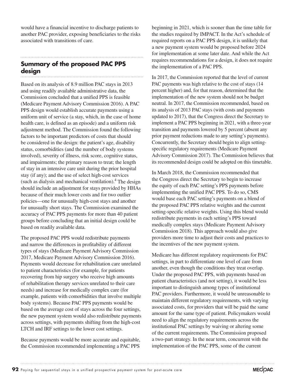would have a financial incentive to discharge patients to another PAC provider, exposing beneficiaries to the risks associated with transitions of care.

# **Summary of the proposed PAC PPS design**

Based on its analysis of 8.9 million PAC stays in 2013 and using readily available administrative data, the Commission concluded that a unified PPS is feasible (Medicare Payment Advisory Commission 2016). A PAC PPS design would establish accurate payments using a uniform unit of service (a stay, which, in the case of home health care, is defined as an episode) and a uniform risk adjustment method. The Commission found the following factors to be important predictors of costs that should be considered in the design: the patient's age, disability status, comorbidities (and the number of body systems involved), severity of illness, risk score, cognitive status, and impairments; the primary reason to treat; the length of stay in an intensive care unit during the prior hospital stay (if any); and the use of select high-cost services (such as dialysis and mechanical ventilation).<sup>4</sup> The design should include an adjustment for stays provided by HHAs because of their much lower costs and for two outlier policies—one for unusually high-cost stays and another for unusually short stays. The Commission examined the accuracy of PAC PPS payments for more than 40 patient groups before concluding that an initial design could be based on readily available data.

The proposed PAC PPS would redistribute payments and narrow the differences in profitability of different types of stays (Medicare Payment Advisory Commission 2017, Medicare Payment Advisory Commission 2016). Payments would decrease for rehabilitation care unrelated to patient characteristics (for example, for patients recovering from hip surgery who receive high amounts of rehabilitation therapy services unrelated to their care needs) and increase for medically complex care (for example, patients with comorbidities that involve multiple body systems). Because PAC PPS payments would be based on the average cost of stays across the four settings, the new payment system would also redistribute payments across settings, with payments shifting from the high-cost LTCH and IRF settings to the lower cost settings.

Because payments would be more accurate and equitable, the Commission recommended implementing a PAC PPS

beginning in 2021, which is sooner than the time table for the studies required by IMPACT. In the Act's schedule of required reports on a PAC PPS design, it is unlikely that a new payment system would be proposed before 2024 for implementation at some later date. And while the Act requires recommendations for a design, it does not require the implementation of a PAC PPS.

In 2017, the Commission reported that the level of current PAC payments was high relative to the cost of stays (14 percent higher) and, for that reason, determined that the implementation of the new system should not be budget neutral. In 2017, the Commission recommended, based on its analysis of 2013 PAC stays (with costs and payments updated to 2017), that the Congress direct the Secretary to implement a PAC PPS beginning in 2021, with a three-year transition and payments lowered by 5 percent (absent any prior payment reductions made to any setting's payments). Concurrently, the Secretary should begin to align settingspecific regulatory requirements (Medicare Payment Advisory Commission 2017). The Commission believes that its recommended design could be adopted on this timetable.

In March 2018, the Commission recommended that the Congress direct the Secretary to begin to increase the equity of each PAC setting's PPS payments before implementing the unified PAC PPS. To do so, CMS would base each PAC setting's payments on a blend of the proposed PAC PPS relative weights and the current setting-specific relative weights. Using this blend would redistribute payments in each setting's PPS toward medically complex stays (Medicare Payment Advisory Commission 2018). This approach would also give providers more time to adjust their costs and practices to the incentives of the new payment system.

Medicare has different regulatory requirements for PAC settings, in part to differentiate one level of care from another, even though the conditions they treat overlap. Under the proposed PAC PPS, with payments based on patient characteristics (and not setting), it would be less important to distinguish among types of institutional PAC providers. Furthermore, it would be unreasonable to maintain different regulatory requirements, with varying associated costs, for providers that will be paid the same amount for the same type of patient. Policymakers would need to align the regulatory requirements across the institutional PAC settings by waiving or altering some of the current requirements. The Commission proposed a two-part strategy. In the near term, concurrent with the implementation of the PAC PPS, some of the current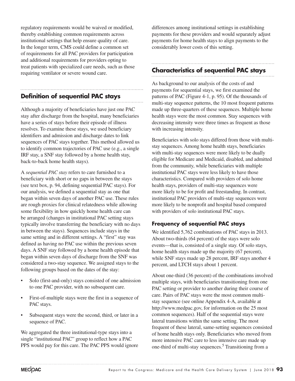regulatory requirements would be waived or modified, thereby establishing common requirements across institutional settings that help ensure quality of care. In the longer term, CMS could define a common set of requirements for all PAC providers for participation and additional requirements for providers opting to treat patients with specialized care needs, such as those requiring ventilator or severe wound care.

## **Definition of sequential PAC stays**

Although a majority of beneficiaries have just one PAC stay after discharge from the hospital, many beneficiaries have a series of stays before their episode of illness resolves. To examine these stays, we used beneficiary identifiers and admission and discharge dates to link sequences of PAC stays together. This method allowed us to identify common trajectories of PAC use (e.g., a single IRF stay, a SNF stay followed by a home health stay, back-to-back home health stays).

A *sequential PAC stay* refers to care furnished to a beneficiary with short or no gaps in between the stays (see text box, p. 94, defining sequential PAC stays). For our analysis, we defined a sequential stay as one that began within seven days of another PAC use. These rules are rough proxies for clinical relatedness while allowing some flexibility in how quickly home health care can be arranged (changes in institutional PAC setting stays typically involve transferring the beneficiary with no days in between the stays). Sequences include stays in the same setting and in different settings. A "first" stay was defined as having no PAC use within the previous seven days. A SNF stay followed by a home health episode that began within seven days of discharge from the SNF was considered a two-stay sequence. We assigned stays to the following groups based on the dates of the stay:

- Solo (first-and-only) stays consisted of one admission to one PAC provider, with no subsequent care.
- First-of-multiple stays were the first in a sequence of PAC stays.
- Subsequent stays were the second, third, or later in a sequence of PAC.

We aggregated the three institutional-type stays into a single "institutional PAC" group to reflect how a PAC PPS would pay for this care. The PAC PPS would ignore differences among institutional settings in establishing payments for these providers and would separately adjust payments for home health stays to align payments to the considerably lower costs of this setting.

# **Characteristics of sequential PAC stays**

As background to our analysis of the costs of and payments for sequential stays, we first examined the patterns of PAC (Figure 4-1, p. 95). Of the thousands of multi-stay sequence patterns, the 10 most frequent patterns made up three-quarters of these sequences. Multiple home health stays were the most common. Stay sequences with decreasing intensity were three times as frequent as those with increasing intensity.

Beneficiaries with solo stays differed from those with multistay sequences. Among home health stays, beneficiaries with multi-stay sequences were more likely to be dually eligible for Medicare and Medicaid, disabled, and admitted from the community, while beneficiaries with multiple institutional PAC stays were less likely to have those characteristics. Compared with providers of solo home health stays, providers of multi-stay sequences were more likely to be for profit and freestanding. In contrast, institutional PAC providers of multi-stay sequences were more likely to be nonprofit and hospital based compared with providers of solo institutional PAC stays.

#### **Frequency of sequential PAC stays**

We identified 5,762 combinations of PAC stays in 2013. About two-thirds (64 percent) of the stays were solo events—that is, consisted of a single stay. Of solo stays, home health stays made up the majority (67 percent), while SNF stays made up 28 percent, IRF stays another 4 percent, and LTCH stays about 1 percent.

About one-third (36 percent) of the combinations involved multiple stays, with beneficiaries transitioning from one PAC setting or provider to another during their course of care. Pairs of PAC stays were the most common multistay sequence (see online Appendix 4-A, available at http://www.medpac.gov, for information on the 25 most common sequences). Half of the sequential stays were lateral transitions within the same setting. The most frequent of these lateral, same-setting sequences consisted of home health stays only. Beneficiaries who moved from more intensive PAC care to less intensive care made up one-third of multi-stay sequences.<sup>5</sup> Transitioning from a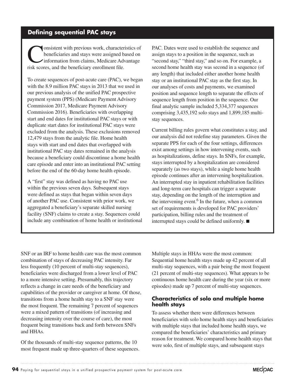# **Defining sequential PAC stays**

**Consistent with previous work, characteristics of**<br>
information from claims, Medicare Advantage<br>
risk scores, and the bondiciery arrellment file beneficiaries and stays were assigned based on risk scores, and the beneficiary enrollment file.

To create sequences of post-acute care (PAC), we began with the 8.9 million PAC stays in 2013 that we used in our previous analysis of the unified PAC prospective payment system (PPS) (Medicare Payment Advisory Commission 2017, Medicare Payment Advisory Commission 2016). Beneficiaries with overlapping start and end dates for institutional PAC stays or with duplicate start dates for institutional PAC stays were excluded from the analysis. These exclusions removed 12,479 stays from the analytic file. Home health stays with start and end dates that overlapped with institutional PAC stay dates remained in the analysis because a beneficiary could discontinue a home health care episode and enter into an institutional PAC setting before the end of the 60-day home health episode.

A "first" stay was defined as having no PAC use within the previous seven days. Subsequent stays were defined as stays that began within seven days of another PAC use. Consistent with prior work, we aggregated a beneficiary's separate skilled nursing facility (SNF) claims to create a stay. Sequences could include any combination of home health or institutional PAC. Dates were used to establish the sequence and assign stays to a position in the sequence, such as "second stay," "third stay," and so on. For example, a second home health stay was second in a sequence (of any length) that included either another home health stay or an institutional PAC stay as the first stay. In our analyses of costs and payments, we examined position and sequence length to separate the effects of sequence length from position in the sequence. Our final analytic sample included 5,334,377 sequences comprising 3,435,192 solo stays and 1,899,185 multistay sequences.

Current billing rules govern what constitutes a stay, and our analysis did not redefine stay parameters. Given the separate PPS for each of the four settings, differences exist among settings in how intervening events, such as hospitalizations, define stays. In SNFs, for example, stays interrupted by a hospitalization are considered separately (as two stays), while a single home health episode continues after an intervening hospitalization. An interrupted stay in inpatient rehabilitation facilities and long-term care hospitals can trigger a separate stay, depending on the length of the interruption and the intervening event. $<sup>6</sup>$  In the future, when a common</sup> set of requirements is developed for PAC providers' participation, billing rules and the treatment of interrupted stays could be defined uniformly. ■

SNF or an IRF to home health care was the most common combination of stays of decreasing PAC intensity. Far less frequently (10 percent of multi-stay sequences), beneficiaries were discharged from a lower level of PAC to a more intensive setting. Presumably, this trajectory reflects a change in care needs of the beneficiary and capabilities of the provider or caregiver at home. Of those, transitions from a home health stay to a SNF stay were the most frequent. The remaining 7 percent of sequences were a mixed pattern of transitions (of increasing and decreasing intensity over the course of care), the most frequent being transitions back and forth between SNFs and HHAs.

Of the thousands of multi-stay sequence patterns, the 10 most frequent made up three-quarters of these sequences. Multiple stays in HHAs were the most common: Sequential home health stays made up 42 percent of all multi-stay sequences, with a pair being the most frequent (21 percent of multi-stay sequences). What appears to be continuous home health care during the year (six or more episodes) made up 7 percent of multi-stay sequences.

#### **Characteristics of solo and multiple home health stays**

To assess whether there were differences between beneficiaries with solo home health stays and beneficiaries with multiple stays that included home health stays, we compared the beneficiaries' characteristics and primary reason for treatment. We compared home health stays that were solo, first of multiple stays, and subsequent stays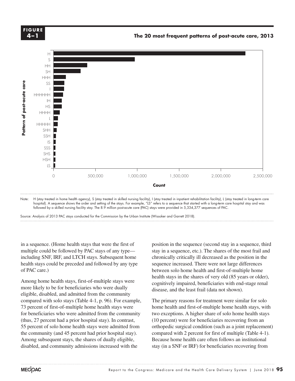

hospital). A sequence shows the order and setting of the stays. For example, "LS" refers to a sequence that started with a long-term care hospital stay and was followed by a skilled nursing facility stay. The 8.9 million post-acute care (PAC) stays were provided in 5,334,377 sequences of PAC.

Source: Analysis of 2013 PAC stays conducted for the Commission by the Urban Institute (Wissoker and Garrett 2018). Note: Note and Source are in InDesign.

in a sequence. (Home health stays that were the first of multiple could be followed by PAC stays of any type including SNF, IRF, and LTCH stays. Subsequent home health stays could be preceded and followed by any type sequence inc<br>
of PAC care) of PAC care.)

Among home health stays, first-of-multiple stays were rancing nome health stays, that or manapre stays were more likely to be for beneficiaries who were dually eligible, disabled, and admitted from the community and axis lines because they kept resetting when I changed any data. compared with solo stays (Table 4-1, p. 96). For example, The primary reasons for  $\overline{\mathcal{L}}$ 73 percent of first-of-multiple home health stays were for beneficiaries who were admitted from the community  $(this, 27)$  percent had a prior hospital stay). In contrast, 55 percent of solo home health stays were admitted from orthogo the community (and 45 percent had prior hospital stay). Among subsequent stays, the shares of dually eligible, Because home health care often follow disabled, and community admissions increased with the

position in the sequence (second stay in a sequence, third stay in a sequence, etc.). The shares of the most frail and chronically critically ill decreased as the position in the sequence increased. There were not large differences between solo home health and first-of-multiple home health stays in the shares of very old (85 years or older), cognitively impaired, beneficiaries with end-stage renal disease, and the least frail (data not shown).

The primary reasons for treatment were similar for solo home health and first-of-multiple home health stays, with  $\frac{1}{2}$  efficiaries who were admitted from the community two exceptions. A higher share of solo home health stays (10 percent) were for beneficiaries recovering from an orthopedic surgical condition (such as a joint replacement) compared with 2 percent for first of multiple (Table 4-1). Because home health care often follows an institutional stay (in a SNF or IRF) for beneficiaries recovering from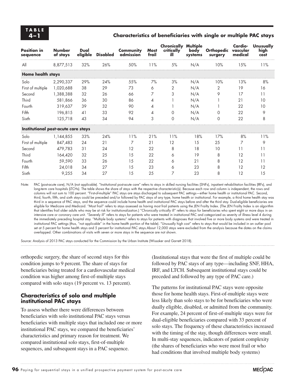#### **4–1 Characteristics of beneficiaries with single or multiple PAC stays**

| <b>Position in</b><br>sequence      | <b>Number</b><br>of stays | Dual<br>eligible | <b>Disabled</b> | Community<br>admission | <b>Most</b><br>frail | <b>Chronically Multiple</b><br>critically<br>ill | body<br>systems | <b>Orthopedic</b><br>surgery | Cardio-<br>vascular<br>medical | Unusually<br>high<br>cost |
|-------------------------------------|---------------------------|------------------|-----------------|------------------------|----------------------|--------------------------------------------------|-----------------|------------------------------|--------------------------------|---------------------------|
| All                                 | 8,877,513                 | 32%              | 26%             | 50%                    | 11%                  | 5%                                               | N/A             | 10%                          | 15%                            | 11%                       |
| Home health stays                   |                           |                  |                 |                        |                      |                                                  |                 |                              |                                |                           |
| Solo                                | 2,290,337                 | 29%              | 24%             | 55%                    | 7%                   | 3%                                               | N/A             | 10%                          | 13%                            | 8%                        |
| First of multiple                   | 1,020,688                 | 38               | 29              | 73                     | 6                    | 2                                                | N/A             | 2                            | 19                             | 16                        |
| Second                              | 1,388,388                 | 32               | 26              | 66                     | 7                    | 3                                                | N/A             | 9                            | 17                             | 11                        |
| Third                               | 581,866                   | 36               | 30              | 86                     | 4                    |                                                  | N/A             |                              | 21                             | 10                        |
| Fourth                              | 319,637                   | 39               | 32              | 90                     | 4                    |                                                  | N/A             |                              | 22                             | 10                        |
| Fifth                               | 196,815                   | 41               | 33              | 92                     | 4                    | 0                                                | N/A             | 0                            | 22                             | 9                         |
| Sixth                               | 125,718                   | 43               | 34              | 94                     | 3                    | 0                                                | N/A             | 0                            | 22                             | 8                         |
| Institutional post-acute care stays |                           |                  |                 |                        |                      |                                                  |                 |                              |                                |                           |
| Solo                                | 1,144,855                 | 33%              | 24%             | 11%                    | 21%                  | 11%                                              | 18%             | 17%                          | 8%                             | 11%                       |
| First of multiple                   | 847,483                   | 24               | 21              | 7                      | 21                   | 12                                               | 15              | 25                           | 7                              | 9                         |
| Second                              | 479,783                   | 31               | 24              | 12                     | 22                   | 8                                                | 18              | 10                           | 11                             | 11                        |
| Third                               | 164,420                   | 32               | 25              | 15                     | 22                   | 6                                                | 19              | 8                            | 12                             | 11                        |
| Fourth                              | 59,590                    | 33               | 26              | 15                     | 22                   | 6                                                | 21              | 8                            | 12                             | 11                        |
| Fifth                               | 24,018                    | 34               | 27              | 15                     | 23                   | 6                                                | 23              | 8                            | 12                             | 12                        |
| Sixth                               | 9,255                     | 34               | 27              | 15                     | 25                   | 7                                                | 23              | 8                            | 12                             | 15                        |

Note: PAC (post-acute care), N/A (not applicable). "Institutional post-acute care" refers to stays in skilled nursing facilities (SNFs), inpatient rehabilitation facilities (IRFs), and long-term care hospitals (LTCHs). The table shows the share of stays with the respective characteristic(s). Because each row and column is independent, the rows and columns will not sum to 100 percent. "First-of-multiple" PAC stays are stays discharged to subsequent PAC settings—either home health or institutional PAC. Second, third, fourth, fifth, and sixth stays could be preceded and/or followed by PAC stays of any type, home health or institutional. For example, a third home health stay was third in a sequence of PAC stays, and the sequence could include home health and institutional PAC stays before and after the third stay. Dual-eligible beneficiaries are eligible for Medicare and Medicaid. "Most frail" refers to stays assessed as having most frail patients using the JEN Frailty Index. (The JEN Frailty Index is an algorithm that identifies frail older adults who may be at risk for institutionalization.) "Chronically critically ill" refers to stays for beneficiaries who spent eight or more days in an intensive care or coronary care unit. "Severely ill" refers to stays for patients who were treated in institutional PAC and categorized as severity of illness level 4 during the immediately preceding hospital stay. "Multiple body systems" refers to stays for patients with diagnoses that involved five or more body systems and were treated in institutional PAC settings (thus, "not applicable" in the home health portion of the table). "Unusually high cost" refers to stays that would be included in an outlier pool set at 5 percent for home health stays and 5 percent for institutional PAC stays.About 12,000 stays were excluded from the analysis because the dates on the claims overlapped. Other combinations of visits with seven or more stays in the sequence are not shown.

Source: Analysis of 2013 PAC stays conducted for the Commission by the Urban Institute (Wissoker and Garrett 2018).

orthopedic surgery, the share of second stays for this condition jumps to 9 percent. The share of stays for beneficiaries being treated for a cardiovascular medical condition was higher among first-of-multiple stays compared with solo stays (19 percent vs. 13 percent).

#### **Characteristics of solo and multiple institutional PAC stays**

To assess whether there were differences between beneficiaries with solo institutional PAC stays versus beneficiaries with multiple stays that included one or more institutional PAC stays, we compared the beneficiaries' characteristics and primary reason for treatment. We compared institutional solo stays, first-of-multiple sequences, and subsequent stays in a PAC sequence.

(Institutional stays that were the first of multiple could be followed by PAC stays of any type—including SNF, HHA, IRF, and LTCH. Subsequent institutional stays could be preceded and followed by any type of PAC care.)

The patterns for institutional PAC stays were opposite those for home health stays. First-of-multiple stays were less likely than solo stays to be for beneficiaries who were dually eligible, disabled, or admitted from the community. For example, 24 percent of first-of-multiple stays were for dual-eligible beneficiaries compared with 33 percent of solo stays. The frequency of these characteristics increased with the timing of the stay, though differences were small. In multi-stay sequences, indicators of patient complexity (the shares of beneficiaries who were most frail or who had conditions that involved multiple body systems)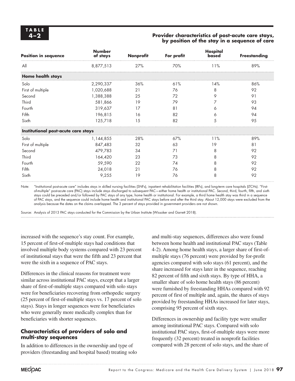#### **4–2 Provider characteristics of post-acute care stays, by position of the stay in a sequence of care**

| <b>Position in sequence</b>         | <b>Number</b><br>of stays | Nonprofit | For profit | <b>Hospital</b><br>based | <b>Freestanding</b> |
|-------------------------------------|---------------------------|-----------|------------|--------------------------|---------------------|
| All                                 | 8,877,513                 | 27%       | 70%        | 11%                      | 89%                 |
| <b>Home health stays</b>            |                           |           |            |                          |                     |
| Solo                                | 2,290,337                 | 36%       | 61%        | 14%                      | 86%                 |
| First of multiple                   | 1,020,688                 | 21        | 76         | 8                        | 92                  |
| Second                              | 1,388,388                 | 25        | 72         | 9                        | 91                  |
| Third                               | 581,866                   | 19        | 79         |                          | 93                  |
| Fourth                              | 319,637                   | 17        | 81         | 6                        | 94                  |
| Fifth                               | 196,815                   | 16        | 82         | 6                        | 94                  |
| Sixth                               | 125,718                   | 15        | 82         | 5                        | 95                  |
| Institutional post-acute care stays |                           |           |            |                          |                     |
| Solo                                | 1,144,855                 | 28%       | 67%        | 11%                      | 89%                 |
| First of multiple                   | 847,483                   | 32        | 63         | 19                       | 81                  |
| Second                              | 479,783                   | 34        | 71         | 8                        | 92                  |
| Third                               | 164,420                   | 23        | 73         | 8                        | 92                  |
| Fourth                              | 59,590                    | 22        | 74         | 8                        | 92                  |
| Fifth                               | 24,018                    | 21        | 76         | 8                        | 92                  |
| Sixth                               | 9,255                     | 19        | 76         | 8                        | 92                  |

Note: "Institutional post-acute care" includes stays in skilled nursing facilities (SNFs), inpatient rehabilitation facilities (IRFs), and long-term care hospitals (LTCHs). "Firstof-multiple" post-acute care (PAC) stays include stays discharged to subsequent PAC—either home health or institutional PAC. Second, third, fourth, fifth, and sixth stays could be preceded and/or followed by PAC stays of any type, home health or institutional. For example, a third home health stay was third in a sequence of PAC stays, and the sequence could include home health and institutional PAC stays before and after the third stay. About 12,000 stays were excluded from the analysis because the dates on the claims overlapped. The 3 percent of stays provided in government providers are not shown.

Source: Analysis of 2013 PAC stays conducted for the Commission by the Urban Institute (Wissoker and Garrett 2018).

increased with the sequence's stay count. For example, 15 percent of first-of-multiple stays had conditions that involved multiple body systems compared with 23 percent of institutional stays that were the fifth and 23 percent that were the sixth in a sequence of PAC stays.

Differences in the clinical reasons for treatment were similar across institutional PAC stays, except that a larger share of first-of-multiple stays compared with solo stays were for beneficiaries recovering from orthopedic surgery (25 percent of first-of-multiple stays vs. 17 percent of solo stays). Stays in longer sequences were for beneficiaries who were generally more medically complex than for beneficiaries with shorter sequences.

#### **Characteristics of providers of solo and multi-stay sequences**

In addition to differences in the ownership and type of providers (freestanding and hospital based) treating solo

and multi-stay sequences, differences also were found between home health and institutional PAC stays (Table 4-2). Among home health stays, a larger share of first-ofmultiple stays (76 percent) were provided by for-profit agencies compared with solo stays (61 percent), and the share increased for stays later in the sequence, reaching 82 percent of fifth and sixth stays. By type of HHA, a smaller share of solo home health stays (86 percent) were furnished by freestanding HHAs compared with 92 percent of first of multiple and, again, the shares of stays provided by freestanding HHAs increased for later stays, comprising 95 percent of sixth stays.

Differences in ownership and facility type were smaller among institutional PAC stays. Compared with solo institutional PAC stays, first-of-multiple stays were more frequently (32 percent) treated in nonprofit facilities compared with 28 percent of solo stays, and the share of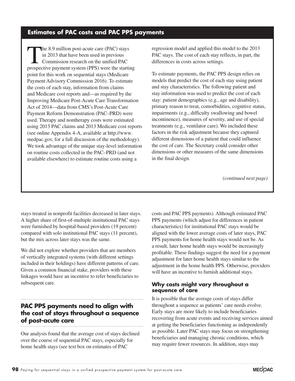# **Estimates of PAC costs and PAC PPS payments**

The 8.9 million post-acute care (PAC) stays in 2013 that have been used in previous Commission research on the unified PAC prospective payment system (PPS) were the starting point for this work on sequential stays (Medicare Payment Advisory Commission 2016). To estimate the costs of each stay, information from claims and Medicare cost reports and—as required by the Improving Medicare Post-Acute Care Transformation Act of 2014—data from CMS's Post-Acute Care Payment Reform Demonstration (PAC–PRD) were used. Therapy and nontherapy costs were estimated using 2013 PAC claims and 2013 Medicare cost reports (see online Appendix 4-A, available at http://www. medpac.gov, for a full discussion of the methodology). We took advantage of the unique stay-level information on routine costs collected in the PAC–PRD (and not available elsewhere) to estimate routine costs using a

regression model and applied this model to the 2013 PAC stays. The cost of each stay reflects, in part, the differences in costs across settings.

To estimate payments, the PAC PPS design relies on models that predict the cost of each stay using patient and stay characteristics. The following patient and stay information was used to predict the cost of each stay: patient demographics (e.g., age and disability), primary reason to treat, comorbidities, cognitive status, impairments (e.g., difficulty swallowing and bowel incontinence), measures of severity, and use of special treatments (e.g., ventilator care). We included these factors in the risk adjustment because they captured different dimensions of a patient that could influence the cost of care. The Secretary could consider other dimensions or other measures of the same dimensions in the final design.

*(continued next page)*

stays treated in nonprofit facilities decreased in later stays. A higher share of first-of-multiple institutional PAC stays were furnished by hospital-based providers (19 percent) compared with solo institutional PAC stays (11 percent), but the mix across later stays was the same.

We did not explore whether providers that are members of vertically integrated systems (with different settings included in their holdings) have different patterns of care. Given a common financial stake, providers with these linkages would have an incentive to refer beneficiaries to subsequent care.

## **PAC PPS payments need to align with the cost of stays throughout a sequence of post-acute care**

Our analysis found that the average cost of stays declined over the course of sequential PAC stays, especially for home health stays (see text box on estimates of PAC

costs and PAC PPS payments). Although estimated PAC PPS payments (which adjust for differences in patient characteristics) for institutional PAC stays would be aligned with the lower average costs of later stays, PAC PPS payments for home health stays would not be. As a result, later home health stays would be increasingly profitable. These findings suggest the need for a payment adjustment for later home health stays similar to the adjustment in the home health PPS. Otherwise, providers will have an incentive to furnish additional stays.

#### **Why costs might vary throughout a sequence of care**

It is possible that the average costs of stays differ throughout a sequence as patients' care needs evolve. Early stays are more likely to include beneficiaries recovering from acute events and receiving services aimed at getting the beneficiaries functioning as independently as possible. Later PAC stays may focus on strengthening beneficiaries and managing chronic conditions, which may require fewer resources. In addition, stays may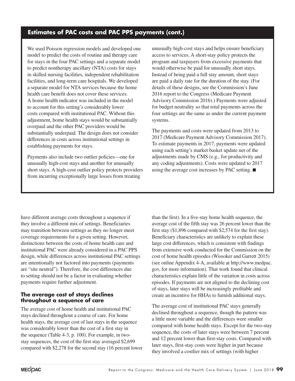# **Estimates of PAC costs and PAC PPS payments (cont.)**

We used Poisson regression models and developed one model to predict the costs of routine and therapy care for stays in the four PAC settings and a separate model to predict nontherapy ancillary (NTA) costs for stays in skilled nursing facilities, independent rehabilitation facilities, and long-term care hospitals. We developed a separate model for NTA services because the home health care benefit does not cover these services. A home health indicator was included in the model to account for this setting's considerably lower costs compared with institutional PAC. Without this adjustment, home health stays would be substantially overpaid and the other PAC providers would be substantially underpaid. The design does not consider differences in costs across institutional settings in establishing payments for stays.

Payments also include two outlier policies—one for unusually high-cost stays and another for unusually short stays. A high-cost outlier policy protects providers from incurring exceptionally large losses from treating

unusually high-cost stays and helps ensure beneficiary access to services. A short-stay policy protects the program and taxpayers from excessive payments that would otherwise be paid for unusually short stays. Instead of being paid a full stay amount, short stays are paid a daily rate for the duration of the stay. (For details of these designs, see the Commission's June 2016 report to the Congress (Medicare Payment Advisory Commission 2016).) Payments were adjusted for budget neutrality so that total payments across the four settings are the same as under the current payment systems.

The payments and costs were updated from 2013 to 2017 (Medicare Payment Advisory Commission 2017). To estimate payments in 2017, payments were updated using each setting's market basket update net of the adjustments made by CMS (e.g., for productivity and any coding adjustments). Costs were updated to 2017 using the average cost increases by PAC setting. ■

have different average costs throughout a sequence if they involve a different mix of settings. Beneficiaries may transition between settings as they no longer meet coverage requirements for a given setting. However, distinctions between the costs of home health care and institutional PAC were already considered in a PAC PPS design, while differences across institutional PAC settings are intentionally not factored into payments (payments are "site neutral"). Therefore, the cost differences due to setting should not be a factor in evaluating whether payments require further adjustment.

#### **The average cost of stays declines throughout a sequence of care**

The average cost of home health and institutional PAC stays declined throughout a course of care. For home health stays, the average cost of last stays in the sequence was considerably lower than the cost of a first stay in the sequence (Table 4-3, p. 100). For example, in twostay sequences, the cost of the first stay averaged \$2,699 compared with \$2,278 for the second stay (16 percent lower

than the first). In a five-stay home health sequence, the average cost of the fifth stay was 26 percent lower than the first stay (\$1,896 compared with \$2,574 for the first stay). Beneficiary characteristics are unlikely to explain these large cost differences, which is consistent with findings from extensive work conducted for the Commission on the cost of home health episodes (Wissoker and Garrett 2015) (see online Appendix 4-A, available at http://www.medpac. gov, for more information). That work found that clinical characteristics explain little of the variation in costs across episodes. If payments are not aligned to the declining cost of stays, later stays will be increasingly profitable and create an incentive for HHAs to furnish additional stays.

The average cost of institutional PAC stays generally declined throughout a sequence, though the pattern was a little more variable and the differences were smaller compared with home health stays. Except for the two-stay sequence, the costs of later stays were between 7 percent and 12 percent lower than first-stay costs. Compared with later stays, first-stay costs were higher in part because they involved a costlier mix of settings (with higher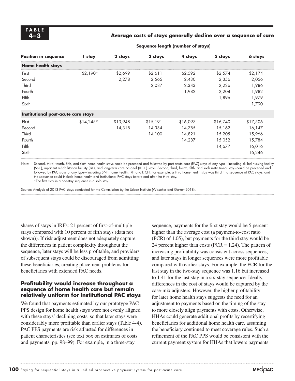#### **4–3 Average costs of stays generally decline over a sequence of care**

**Sequence length (number of stays)**

| <b>Position in sequence</b>         | 1 stay     | 2 stays  | 3 stays  | 4 stays  | 5 stays  | 6 stays  |  |  |
|-------------------------------------|------------|----------|----------|----------|----------|----------|--|--|
| <b>Home health stays</b>            |            |          |          |          |          |          |  |  |
| First                               | $$2.190*$  | \$2,699  | \$2,611  | \$2,592  | \$2,574  | \$2,174  |  |  |
| Second                              |            | 2,278    | 2,565    | 2,430    | 2,356    | 2,056    |  |  |
| Third                               |            |          | 2,087    | 2,343    | 2,226    | 1,986    |  |  |
| Fourth                              |            |          |          | 1,982    | 2,204    | 1,982    |  |  |
| Fifth                               |            |          |          |          | 1,896    | 1,979    |  |  |
| Sixth                               |            |          |          |          |          | 1,790    |  |  |
| Institutional post-acute care stays |            |          |          |          |          |          |  |  |
| First                               | $$14,245*$ | \$13,948 | \$15,191 | \$16,097 | \$16,740 | \$17,506 |  |  |
| Second                              |            | 14.318   | 14,334   | 14.785   | 15,162   | 16,147   |  |  |
| Third                               |            |          | 14,100   | 14,821   | 15,205   | 15,966   |  |  |
| Fourth                              |            |          |          | 14,287   | 15,052   | 15,784   |  |  |
| Fifth                               |            |          |          |          | 14,677   | 16,016   |  |  |
| Sixth                               |            |          |          |          |          | 16,246   |  |  |

Note: Second, third, fourth, fifth, and sixth home health stays could be preceded and followed by post-acute care (PAC) stays of any type—including skilled nursing facility (SNF), inpatient rehabilitation facility (IRF), and long-term care hospital (LTCH) stays. Second, third, fourth, fifth, and sixth institutional stays could be preceded and followed by PAC stays of any type—including SNF, home health, IRF, and LTCH. For example, a third home health stay was third in a sequence of PAC stays, and the sequence could include home health and institutional PAC stays before and after the third stay.

\*The first stay in a one-stay sequence is a solo stay.

Source: Analysis of 2013 PAC stays conducted for the Commission by the Urban Institute (Wissoker and Garrett 2018).

shares of stays in IRFs: 21 percent of first-of-multiple stays compared with 10 percent of fifth stays (data not shown)). If risk adjustment does not adequately capture the differences in patient complexity throughout the sequence, later stays will be less profitable, and providers of subsequent stays could be discouraged from admitting these beneficiaries, creating placement problems for beneficiaries with extended PAC needs.

#### **Profitability would increase throughout a sequence of home health care but remain relatively uniform for institutional PAC stays**

We found that payments estimated by our prototype PAC PPS design for home health stays were not evenly aligned with these stays' declining costs, so that later stays were considerably more profitable than earlier stays (Table 4-4). PAC PPS payments are risk adjusted for differences in patient characteristics (see text box on estimates of costs and payments, pp. 98–99). For example, in a three-stay

sequence, payments for the first stay would be 5 percent higher than the average cost (a payment-to-cost ratio (PCR) of 1.05), but payments for the third stay would be 24 percent higher than costs (PCR  $= 1.24$ ). The pattern of increasing profitability was consistent across sequences, and later stays in longer sequences were more profitable compared with earlier stays. For example, the PCR for the last stay in the two-stay sequence was 1.16 but increased to 1.41 for the last stay in a six-stay sequence. Ideally, differences in the cost of stays would be captured by the case-mix adjusters. However, the higher profitability for later home health stays suggests the need for an adjustment to payments based on the timing of the stay to more closely align payments with costs. Otherwise, HHAs could generate additional profits by recertifying beneficiaries for additional home health care, assuming the beneficiary continued to meet coverage rules. Such a refinement of the PAC PPS would be consistent with the current payment system for HHAs that lowers payments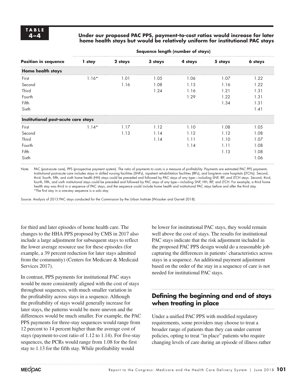#### **4–4 Under our proposed PAC PPS, payment-to-cost ratios would increase for later home health stays but would be relatively uniform for institutional PAC stays**

**Sequence length (number of stays)**

| 1 stay                              | 2 stays | 3 stays | 4 stays | 5 stays | 6 stays |
|-------------------------------------|---------|---------|---------|---------|---------|
|                                     |         |         |         |         |         |
| $1.16*$                             | 1.01    | 1.05    | 1.06    | 1.07    | 1.22    |
|                                     | 1.16    | 1.08    | 1.13    | 1.16    | 1.22    |
|                                     |         | 1.24    | 1.16    | 1.21    | 1.31    |
|                                     |         |         | 1.29    | 1.22    | 1.31    |
|                                     |         |         |         | 1.34    | 1.31    |
|                                     |         |         |         |         | 1.41    |
| Institutional post-acute care stays |         |         |         |         |         |
| $1.14*$                             | 1.17    | 1.12    | 1.10    | 1.08    | 1.05    |
|                                     | 1.13    | 1.14    | 1.12    | 1.12    | 1.08    |
|                                     |         | 1.14    | 1.11    | 1.10    | 1.07    |
|                                     |         |         | 1.14    | 1.11    | 1.08    |
|                                     |         |         |         | 1.13    | 1.08    |
|                                     |         |         |         |         | 1.06    |
|                                     |         |         |         |         |         |

Note: PAC (post-acute care), PPS (prospective payment system). The ratio of payments to costs is a measure of profitability. Payments are estimated PAC PPS payments. Institutional post-acute care includes stays in skilled nursing facilities (SNFs), inpatient rehabilitation facilities (IRFs), and long-term care hospitals (LTCHs). Second, third, fourth, fifth, and sixth home health (HH) stays could be preceded and followed by PAC stays of any type—including SNF, IRF, and LTCH stays. Second, third, fourth, fifth, and sixth institutional stays could be preceded and followed by PAC stays of any type—including SNF, HH, IRF, and LTCH. For example, a third home health stay was third in a sequence of PAC stays, and the sequence could include home health and institutional PAC stays before and after the third stay. \*The first stay in a one-stay sequence is a solo stay.

Source: Analysis of 2013 PAC stays conducted for the Commission by the Urban Institute (Wissoker and Garrett 2018).

for third and later episodes of home health care. The changes to the HHA PPS proposed by CMS in 2017 also include a large adjustment for subsequent stays to reflect the lower average resource use for these episodes (for example, a 39 percent reduction for later stays admitted from the community) (Centers for Medicare & Medicaid Services 2017).

In contrast, PPS payments for institutional PAC stays would be more consistently aligned with the cost of stays throughout sequences, with much smaller variation in the profitability across stays in a sequence. Although the profitability of stays would generally increase for later stays, the patterns would be more uneven and the differences would be much smaller. For example, the PAC PPS payments for three-stay sequences would range from 12 percent to 14 percent higher than the average cost of stays (payment-to-cost ratio of 1.12 to 1.14). For five-stay sequences, the PCRs would range from 1.08 for the first stay to 1.13 for the fifth stay. While profitability would

be lower for institutional PAC stays, they would remain well above the cost of stays. The results for institutional PAC stays indicate that the risk adjustment included in the proposed PAC PPS design would do a reasonable job capturing the differences in patients' characteristics across stays in a sequence. An additional payment adjustment based on the order of the stay in a sequence of care is not needed for institutional PAC stays.

# **Defining the beginning and end of stays when treating in place**

Under a unified PAC PPS with modified regulatory requirements, some providers may choose to treat a broader range of patients than they can under current policies, opting to treat "in place" patients who require changing levels of care during an episode of illness rather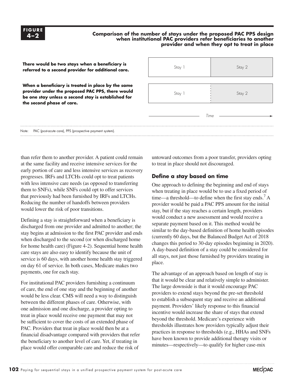#### **Comparison of the number of stays under the proposed PAC PPS design when institutional PAC providers refer beneficiaries to another provider and when they opt to treat in place**



than refer them to another provider. A patient could remain at the same facility and receive intensive services for the early portion of care and less intensive services as recovery progresses. IRFs and LTCHs could opt to treat patients with less intensive care needs (as opposed to transferring them to SNFs), while SNFs could opt to offer services that previously had been furnished by IRFs and LTCHs. Reducing the number of handoffs between providers would lower the risk of poor transitions.

Defining a stay is straightforward when a beneficiary is discharged from one provider and admitted to another; the stay begins at admission to the first PAC provider and ends when discharged to the second (or when discharged home for home health care) (Figure 4-2). Sequential home health care stays are also easy to identify because the unit of service is 60 days, with another home health stay triggered on day 61 of service. In both cases, Medicare makes two payments, one for each stay.

For institutional PAC providers furnishing a continuum of care, the end of one stay and the beginning of another would be less clear. CMS will need a way to distinguish between the different phases of care. Otherwise, with one admission and one discharge, a provider opting to treat in place would receive one payment that may not be sufficient to cover the costs of an extended phase of PAC. Providers that treat in place would then be at a financial disadvantage compared with providers that refer the beneficiary to another level of care. Yet, if treating in place would offer comparable care and reduce the risk of

untoward outcomes from a poor transfer, providers opting to treat in place should not discouraged.

#### **Define a stay based on time**

One approach to defining the beginning and end of stays when treating in place would be to use a fixed period of time—a threshold—to define when the first stay ends.<sup>7</sup> A provider would be paid a PAC PPS amount for the initial stay, but if the stay reaches a certain length, providers would conduct a new assessment and would receive a separate payment based on it. This method would be similar to the day-based definition of home health episodes (currently 60 days, but the Balanced Budget Act of 2018 changes this period to 30-day episodes beginning in 2020). A day-based definition of a stay could be considered for all stays, not just those furnished by providers treating in place.

The advantage of an approach based on length of stay is that it would be clear and relatively simple to administer. The large downside is that it would encourage PAC providers to extend stays beyond the pre-set threshold to establish a subsequent stay and receive an additional payment. Providers' likely response to this financial incentive would increase the share of stays that extend beyond the threshold. Medicare's experience with thresholds illustrates how providers typically adjust their practices in response to thresholds (e.g., HHAs and SNFs have been known to provide additional therapy visits or minutes—respectively—to qualify for higher case-mix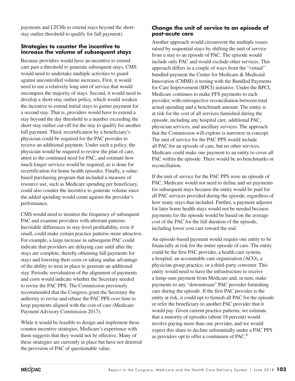payments and LTCHs to extend stays beyond the shortstay outlier threshold to qualify for full payment).

#### **Strategies to counter the incentive to increase the volume of subsequent stays**

Because providers would have an incentive to extend care past a threshold to generate subsequent stays, CMS would need to undertake multiple activities to guard against uncontrolled volume increases. First, it would need to use a relatively long unit of service that would encompass the majority of stays. Second, it would need to develop a short-stay outlier policy, which would weaken the incentive to extend initial stays to garner payment for a second stay. That is, providers would have to extend a stay beyond the day threshold to a number exceeding the short-stay outlier cut-off for the stay to qualify for another full payment. Third, recertification by a beneficiary's physician could be required for the PAC provider to receive an additional payment. Under such a policy, the physician would be required to review the plan of care, attest to the continued need for PAC, and estimate how much longer services would be required, as is done for recertification for home health episodes. Finally, a valuebased purchasing program that included a measure of resource use, such as Medicare spending per beneficiary, could also counter the incentive to generate volume since the added spending would count against the provider's performance.

CMS would need to monitor the frequency of subsequent PAC and examine providers with aberrant patterns. Inevitable differences in stay-level profitability, even if small, could make certain practice patterns more attractive. For example, a large increase in subsequent PAC could indicate that providers are delaying care until after the stays are complete, thereby obtaining full payments for stays and lowering their costs or taking undue advantage of the ability to treat in place to generate an additional stay. Periodic reevaluation of the alignment of payments and costs would indicate whether the Secretary needed to revise the PAC PPS. The Commission previously recommended that the Congress grant the Secretary the authority to revise and rebase the PAC PPS over time to keep payments aligned with the cost of care (Medicare Payment Advisory Commission 2017).

While it would be feasible to design and implement these counter-incentive strategies, Medicare's experience with them suggests that they would not be effective. Many of these strategies are currently in place but have not deterred the provision of PAC of questionable value.

#### **Change the unit of service to an episode of post-acute care**

Another approach would circumvent the multiple issues raised by sequential stays by shifting the unit of service from a stay to an episode of PAC. The episode would include only PAC and would exclude other services. This approach differs in a couple of ways from the "virtual" bundled payment the Center for Medicare & Medicaid Innovation (CMMI) is testing with the Bundled Payments for Care Improvement (BPCI) initiative. Under the BPCI, Medicare continues to make FFS payments to each provider, with retrospective reconciliation between total actual spending and a benchmark amount. The entity is at risk for the cost of all services furnished during the episode, including any hospital care, additional PAC, physician services, and ancillary services. The approach that the Commission will explore is narrower in concept. The unit of service for the PAC PPS would include all PAC for an episode of care, but no other services. Medicare could make one payment to an entity to cover all PAC within the episode. There would be no benchmarks or reconciliation.

If the unit of service for the PAC PPS were an episode of PAC, Medicare would not need to define and set payments for subsequent stays because the entity would be paid for all PAC services provided during the episode, regardless of how many stays that included. Further, a payment adjuster for later home health stays would not be needed because payments for the episode would be based on the average cost of the PAC for the full duration of the episode, including lower cost care toward the end.

An episode-based payment would require one entity to be financially at risk for the entire episode of care. The entity could be the first PAC provider, a health care system, a hospital, an accountable care organization (ACO), a physician group practice, or a third-party convener. This entity would need to have the infrastructure to receive a lump-sum payment from Medicare and, in turn, make payments to any "downstream" PAC provider furnishing care during the episode. If the first PAC provider is the entity at risk, it could opt to furnish all PAC for the episode or refer the beneficiary to another PAC provider that it would pay. Given current practice patterns, we estimate that a minority of episodes (about 18 percent) would involve paying more than one provider, and we would expect this share to decline substantially under a PAC PPS as providers opt to offer a continuum of PAC.8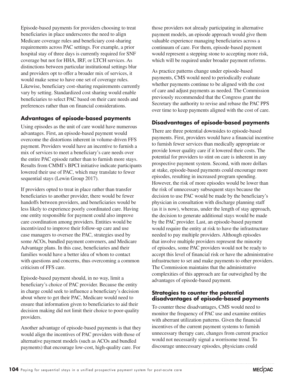Episode-based payments for providers choosing to treat beneficiaries in place underscores the need to align Medicare coverage rules and beneficiary cost-sharing requirements across PAC settings. For example, a prior hospital stay of three days is currently required for SNF coverage but not for HHA, IRF, or LTCH services. As distinctions between particular institutional settings blur and providers opt to offer a broader mix of services, it would make sense to have one set of coverage rules. Likewise, beneficiary cost-sharing requirements currently vary by setting. Standardized cost sharing would enable beneficiaries to select PAC based on their care needs and preferences rather than on financial considerations.

#### **Advantages of episode-based payments**

Using episodes as the unit of care would have numerous advantages. First, an episode-based payment would overcome the distortions inherent in volume-driven FFS payment. Providers would have an incentive to furnish a mix of services to meet a beneficiary's care needs over the entire PAC episode rather than to furnish more stays. Results from CMMI's BPCI initiative indicate participants lowered their use of PAC, which may translate to fewer sequential stays (Lewin Group 2017).

If providers opted to treat in place rather than transfer beneficiaries to another provider, there would be fewer handoffs between providers, and beneficiaries would be less likely to experience poorly coordinated care. Having one entity responsible for payment could also improve care coordination among providers. Entities would be incentivized to improve their follow-up care and use case managers to oversee the PAC, strategies used by some ACOs, bundled payment conveners, and Medicare Advantage plans. In this case, beneficiaries and their families would have a better idea of whom to contact with questions and concerns, thus overcoming a common criticism of FFS care.

Episode-based payment should, in no way, limit a beneficiary's choice of PAC provider. Because the entity in charge could seek to influence a beneficiary's decision about where to get their PAC, Medicare would need to ensure that information given to beneficiaries to aid their decision making did not limit their choice to poor-quality providers.

Another advantage of episode-based payments is that they would align the incentives of PAC providers with those of alternative payment models (such as ACOs and bundled payments) that encourage low-cost, high-quality care. For

those providers not already participating in alternative payment models, an episode approach would give them valuable experience managing beneficiaries across a continuum of care. For them, episode-based payment would represent a stepping stone to accepting more risk, which will be required under broader payment reforms.

As practice patterns change under episode-based payments, CMS would need to periodically evaluate whether payments continue to be aligned with the cost of care and adjust payments as needed. The Commission previously recommended that the Congress grant the Secretary the authority to revise and rebase the PAC PPS over time to keep payments aligned with the cost of care.

#### **Disadvantages of episode-based payments**

There are three potential downsides to episode-based payments. First, providers would have a financial incentive to furnish fewer services than medically appropriate or provide lower quality care if it lowered their costs. The potential for providers to stint on care is inherent in any prospective payment system. Second, with more dollars at stake, episode-based payments could encourage more episodes, resulting in increased program spending. However, the risk of more episodes would be lower than the risk of unnecessary subsequent stays because the decision to use PAC would be made by the beneficiary's physician in consultation with discharge planning staff (as it is now), whereas, under the length of stay approach, the decision to generate additional stays would be made by the PAC provider. Last, an episode-based payment would require the entity at risk to have the infrastructure needed to pay multiple providers. Although episodes that involve multiple providers represent the minority of episodes, some PAC providers would not be ready to accept this level of financial risk or have the administrative infrastructure to set and make payments to other providers. The Commission maintains that the administrative complexities of this approach are far outweighed by the advantages of episode-based payment.

#### **Strategies to counter the potential disadvantages of episode-based payments**

To counter these disadvantages, CMS would need to monitor the frequency of PAC use and examine entities with aberrant utilization patterns. Given the financial incentives of the current payment systems to furnish unnecessary therapy care, changes from current practice would not necessarily signal a worrisome trend. To discourage unnecessary episodes, physicians could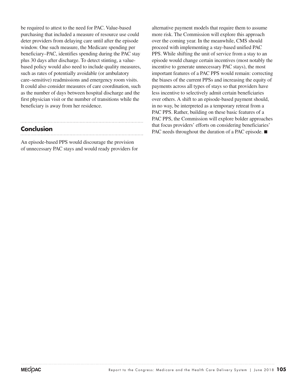be required to attest to the need for PAC. Value-based purchasing that included a measure of resource use could deter providers from delaying care until after the episode window. One such measure, the Medicare spending per beneficiary–PAC, identifies spending during the PAC stay plus 30 days after discharge. To detect stinting, a valuebased policy would also need to include quality measures, such as rates of potentially avoidable (or ambulatory care–sensitive) readmissions and emergency room visits. It could also consider measures of care coordination, such as the number of days between hospital discharge and the first physician visit or the number of transitions while the beneficiary is away from her residence.

#### **Conclusion**

An episode-based PPS would discourage the provision of unnecessary PAC stays and would ready providers for

alternative payment models that require them to assume more risk. The Commission will explore this approach over the coming year. In the meanwhile, CMS should proceed with implementing a stay-based unified PAC PPS. While shifting the unit of service from a stay to an episode would change certain incentives (most notably the incentive to generate unnecessary PAC stays), the most important features of a PAC PPS would remain: correcting the biases of the current PPSs and increasing the equity of payments across all types of stays so that providers have less incentive to selectively admit certain beneficiaries over others. A shift to an episode-based payment should, in no way, be interpreted as a temporary retreat from a PAC PPS. Rather, building on these basic features of a PAC PPS, the Commission will explore bolder approaches that focus providers' efforts on considering beneficiaries' PAC needs throughout the duration of a PAC episode. ■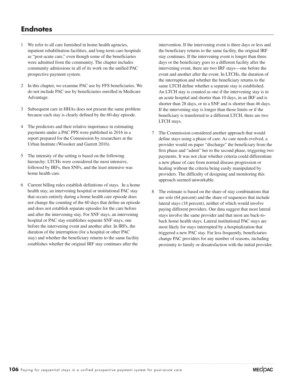# **Endnotes**

- 1 We refer to all care furnished in home health agencies, inpatient rehabilitation facilities, and long-term care hospitals as "post-acute care," even though some of the beneficiaries were admitted from the community. The chapter includes community admissions in all of its work on the unified PAC prospective payment system.
- 2 In this chapter, we examine PAC use by FFS beneficiaries. We do not include PAC use by beneficiaries enrolled in Medicare Advantage.
- 3 Subsequent care in HHAs does not present the same problem because each stay is clearly defined by the 60-day episode.
- 4 The predictors and their relative importance in estimating payments under a PAC PPS were published in 2016 in a report prepared for the Commission by researchers at the Urban Institute (Wissoker and Garrett 2016).
- 5 The intensity of the setting is based on the following hierarchy: LTCHs were considered the most intensive, followed by IRFs, then SNFs, and the least intensive was home health care.
- 6 Current billing rules establish definitions of stays. In a home health stay, an intervening hospital or institutional PAC stay that occurs entirely during a home health care episode does not change the counting of the 60 days that define an episode and does not establish separate episodes for the care before and after the intervening stay. For SNF stays, an intervening hospital or PAC stay establishes separate SNF stays, one before the intervening event and another after. In IRFs, the duration of the interruption (for a hospital or other PAC stay) and whether the beneficiary returns to the same facility establishes whether the original IRF stay continues after the

intervention. If the intervening event is three days or less and the beneficiary returns to the same facility, the original IRF stay continues. If the intervening event is longer than three days or the beneficiary goes to a different facility after the intervening event, there are two IRF stays—one before the event and another after the event. In LTCHs, the duration of the interruption and whether the beneficiary returns to the same LTCH define whether a separate stay is established. An LTCH stay is counted as one if the intervening stay is in an acute hospital and shorter than 10 days, in an IRF and is shorter than 28 days, or in a SNF and is shorter than 46 days. If the intervening stay is longer than those limits or if the beneficiary is transferred to a different LTCH, there are two LTCH stays.

- 7 The Commission considered another approach that would define stays using a phase of care. As care needs evolved, a provider would on paper "discharge" the beneficiary from the first phase and "admit" her to the second phase, triggering two payments. It was not clear whether criteria could differentiate a new phase of care from normal disease progression or healing without the criteria being easily manipulated by providers. The difficulty of designing and monitoring this approach seemed unworkable.
- 8 The estimate is based on the share of stay combinations that are solo (64 percent) and the share of sequences that include lateral stays (18 percent), neither of which would involve paying different providers. Our data suggest that most lateral stays involve the same provider and that most are back-toback home health stays. Lateral institutional PAC stays are most likely for stays interrupted by a hospitalization that triggered a new PAC stay. Far less frequently, beneficiaries change PAC providers for any number of reasons, including proximity to family or dissatisfaction with the initial provider.